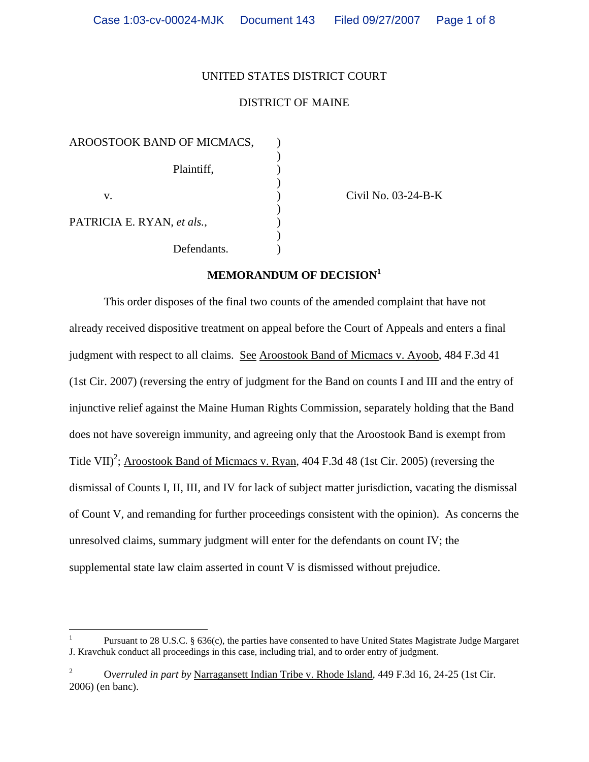## UNITED STATES DISTRICT COURT

## DISTRICT OF MAINE

AROOSTOOK BAND OF MICMACS,  $\qquad$  )  $)$  Plaintiff, )  $)$  v. ) Civil No. 03-24-B-K  $)$ PATRICIA E. RYAN, et als.,  $)$ Defendants.

# **MEMORANDUM OF DECISION[1](#page-0-0)**

 This order disposes of the final two counts of the amended complaint that have not already received dispositive treatment on appeal before the Court of Appeals and enters a final judgment with respect to all claims. See Aroostook Band of Micmacs v. Ayoob, 484 F.3d 41 (1st Cir. 2007) (reversing the entry of judgment for the Band on counts I and III and the entry of injunctive relief against the Maine Human Rights Commission, separately holding that the Band does not have sovereign immunity, and agreeing only that the Aroostook Band is exempt from Title VII)<sup>[2](#page-0-1)</sup>; Aroostook Band of Micmacs v. Ryan, 404 F.3d 48 (1st Cir. 2005) (reversing the dismissal of Counts I, II, III, and IV for lack of subject matter jurisdiction, vacating the dismissal of Count V, and remanding for further proceedings consistent with the opinion). As concerns the unresolved claims, summary judgment will enter for the defendants on count IV; the supplemental state law claim asserted in count V is dismissed without prejudice.

<span id="page-0-0"></span><sup>1</sup> 1 Pursuant to 28 U.S.C. § 636(c), the parties have consented to have United States Magistrate Judge Margaret J. Kravchuk conduct all proceedings in this case, including trial, and to order entry of judgment.

<span id="page-0-1"></span><sup>2</sup> O*verruled in part by* Narragansett Indian Tribe v. Rhode Island, 449 F.3d 16, 24-25 (1st Cir. 2006) (en banc).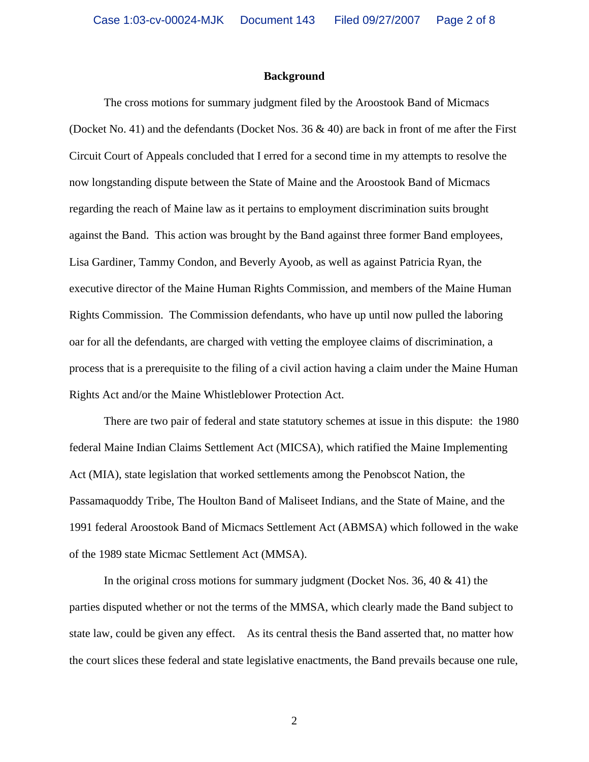#### **Background**

The cross motions for summary judgment filed by the Aroostook Band of Micmacs (Docket No. 41) and the defendants (Docket Nos. 36 & 40) are back in front of me after the First Circuit Court of Appeals concluded that I erred for a second time in my attempts to resolve the now longstanding dispute between the State of Maine and the Aroostook Band of Micmacs regarding the reach of Maine law as it pertains to employment discrimination suits brought against the Band. This action was brought by the Band against three former Band employees, Lisa Gardiner, Tammy Condon, and Beverly Ayoob, as well as against Patricia Ryan, the executive director of the Maine Human Rights Commission, and members of the Maine Human Rights Commission. The Commission defendants, who have up until now pulled the laboring oar for all the defendants, are charged with vetting the employee claims of discrimination, a process that is a prerequisite to the filing of a civil action having a claim under the Maine Human Rights Act and/or the Maine Whistleblower Protection Act.

There are two pair of federal and state statutory schemes at issue in this dispute: the 1980 federal Maine Indian Claims Settlement Act (MICSA), which ratified the Maine Implementing Act (MIA), state legislation that worked settlements among the Penobscot Nation, the Passamaquoddy Tribe, The Houlton Band of Maliseet Indians, and the State of Maine, and the 1991 federal Aroostook Band of Micmacs Settlement Act (ABMSA) which followed in the wake of the 1989 state Micmac Settlement Act (MMSA).

In the original cross motions for summary judgment (Docket Nos. 36, 40  $\&$  41) the parties disputed whether or not the terms of the MMSA, which clearly made the Band subject to state law, could be given any effect. As its central thesis the Band asserted that, no matter how the court slices these federal and state legislative enactments, the Band prevails because one rule,

2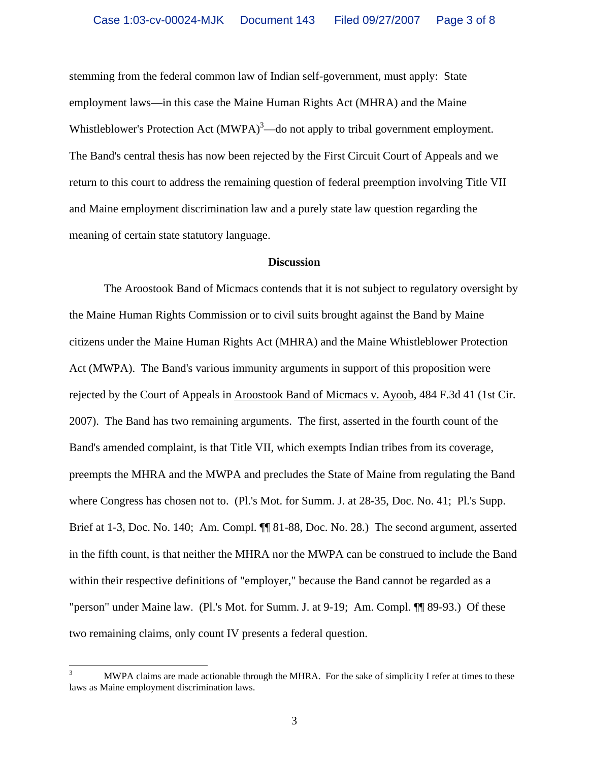stemming from the federal common law of Indian self-government, must apply: State employment laws—in this case the Maine Human Rights Act (MHRA) and the Maine Whistleblower's Protection Act  $(MWPA)^3$ [—](#page-2-0)do not apply to tribal government employment. The Band's central thesis has now been rejected by the First Circuit Court of Appeals and we return to this court to address the remaining question of federal preemption involving Title VII and Maine employment discrimination law and a purely state law question regarding the meaning of certain state statutory language.

### **Discussion**

The Aroostook Band of Micmacs contends that it is not subject to regulatory oversight by the Maine Human Rights Commission or to civil suits brought against the Band by Maine citizens under the Maine Human Rights Act (MHRA) and the Maine Whistleblower Protection Act (MWPA). The Band's various immunity arguments in support of this proposition were rejected by the Court of Appeals in Aroostook Band of Micmacs v. Ayoob, 484 F.3d 41 (1st Cir. 2007). The Band has two remaining arguments. The first, asserted in the fourth count of the Band's amended complaint, is that Title VII, which exempts Indian tribes from its coverage, preempts the MHRA and the MWPA and precludes the State of Maine from regulating the Band where Congress has chosen not to. (Pl.'s Mot. for Summ. J. at 28-35, Doc. No. 41; Pl.'s Supp. Brief at 1-3, Doc. No. 140; Am. Compl. **[1]** 81-88, Doc. No. 28.) The second argument, asserted in the fifth count, is that neither the MHRA nor the MWPA can be construed to include the Band within their respective definitions of "employer," because the Band cannot be regarded as a "person" under Maine law. (Pl.'s Mot. for Summ. J. at 9-19; Am. Compl. ¶¶ 89-93.) Of these two remaining claims, only count IV presents a federal question.

<span id="page-2-0"></span><sup>&</sup>lt;sup>2</sup><br>3 MWPA claims are made actionable through the MHRA. For the sake of simplicity I refer at times to these laws as Maine employment discrimination laws.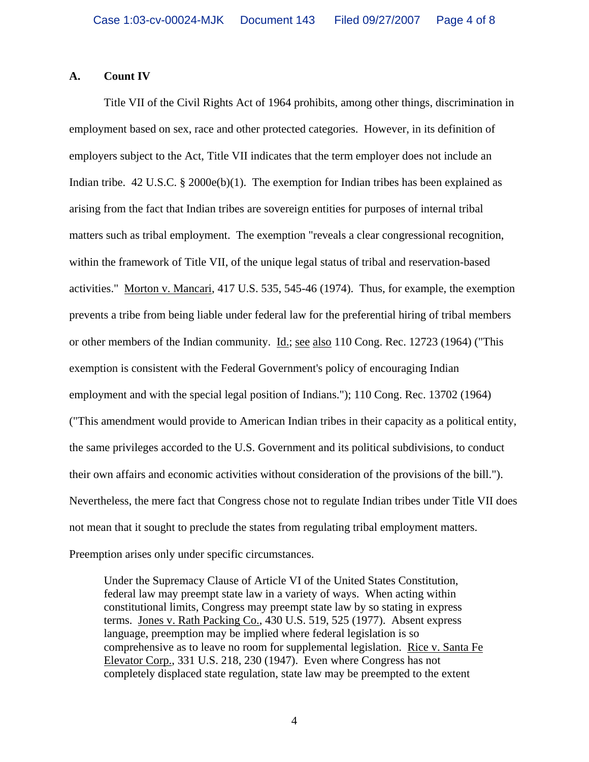### **A. Count IV**

Title VII of the Civil Rights Act of 1964 prohibits, among other things, discrimination in employment based on sex, race and other protected categories. However, in its definition of employers subject to the Act, Title VII indicates that the term employer does not include an Indian tribe. 42 U.S.C. § 2000e(b)(1). The exemption for Indian tribes has been explained as arising from the fact that Indian tribes are sovereign entities for purposes of internal tribal matters such as tribal employment. The exemption "reveals a clear congressional recognition, within the framework of Title VII, of the unique legal status of tribal and reservation-based activities." Morton v. Mancari, 417 U.S. 535, 545-46 (1974). Thus, for example, the exemption prevents a tribe from being liable under federal law for the preferential hiring of tribal members or other members of the Indian community. <u>Id.; see also</u> 110 Cong. Rec. 12723 (1964) ("This exemption is consistent with the Federal Government's policy of encouraging Indian employment and with the special legal position of Indians."); 110 Cong. Rec. 13702 (1964) ("This amendment would provide to American Indian tribes in their capacity as a political entity, the same privileges accorded to the U.S. Government and its political subdivisions, to conduct their own affairs and economic activities without consideration of the provisions of the bill."). Nevertheless, the mere fact that Congress chose not to regulate Indian tribes under Title VII does not mean that it sought to preclude the states from regulating tribal employment matters. Preemption arises only under specific circumstances.

Under the Supremacy Clause of Article VI of the United States Constitution, federal law may preempt state law in a variety of ways. When acting within constitutional limits, Congress may preempt state law by so stating in express terms. Jones v. Rath Packing Co., 430 U.S. 519, 525 (1977). Absent express language, preemption may be implied where federal legislation is so comprehensive as to leave no room for supplemental legislation. Rice v. Santa Fe Elevator Corp., 331 U.S. 218, 230 (1947). Even where Congress has not completely displaced state regulation, state law may be preempted to the extent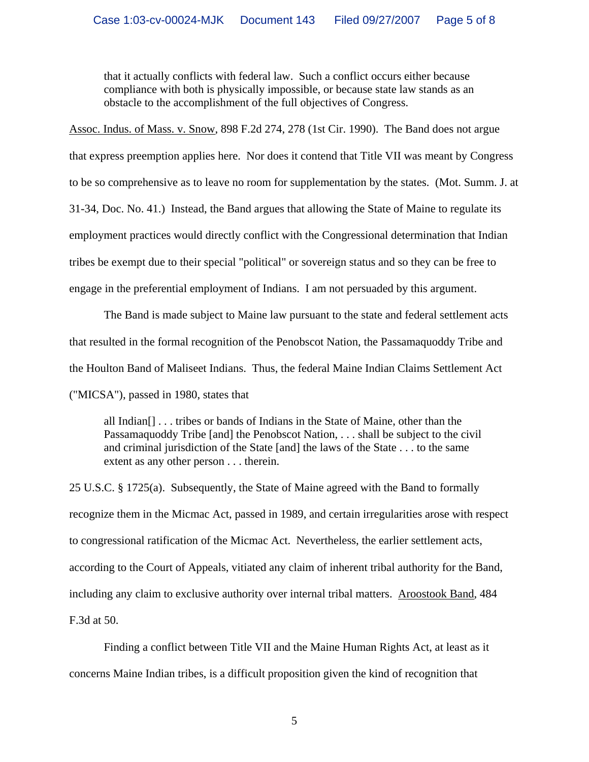that it actually conflicts with federal law. Such a conflict occurs either because compliance with both is physically impossible, or because state law stands as an obstacle to the accomplishment of the full objectives of Congress.

Assoc. Indus. of Mass. v. Snow, 898 F.2d 274, 278 (1st Cir. 1990). The Band does not argue

that express preemption applies here. Nor does it contend that Title VII was meant by Congress

to be so comprehensive as to leave no room for supplementation by the states. (Mot. Summ. J. at

31-34, Doc. No. 41.) Instead, the Band argues that allowing the State of Maine to regulate its

employment practices would directly conflict with the Congressional determination that Indian

tribes be exempt due to their special "political" or sovereign status and so they can be free to

engage in the preferential employment of Indians. I am not persuaded by this argument.

The Band is made subject to Maine law pursuant to the state and federal settlement acts that resulted in the formal recognition of the Penobscot Nation, the Passamaquoddy Tribe and the Houlton Band of Maliseet Indians. Thus, the federal Maine Indian Claims Settlement Act ("MICSA"), passed in 1980, states that

all Indian[] . . . tribes or bands of Indians in the State of Maine, other than the Passamaquoddy Tribe [and] the Penobscot Nation, . . . shall be subject to the civil and criminal jurisdiction of the State [and] the laws of the State . . . to the same extent as any other person . . . therein.

25 U.S.C. § 1725(a). Subsequently, the State of Maine agreed with the Band to formally recognize them in the Micmac Act, passed in 1989, and certain irregularities arose with respect to congressional ratification of the Micmac Act. Nevertheless, the earlier settlement acts, according to the Court of Appeals, vitiated any claim of inherent tribal authority for the Band, including any claim to exclusive authority over internal tribal matters. Aroostook Band, 484 F.3d at 50.

Finding a conflict between Title VII and the Maine Human Rights Act, at least as it concerns Maine Indian tribes, is a difficult proposition given the kind of recognition that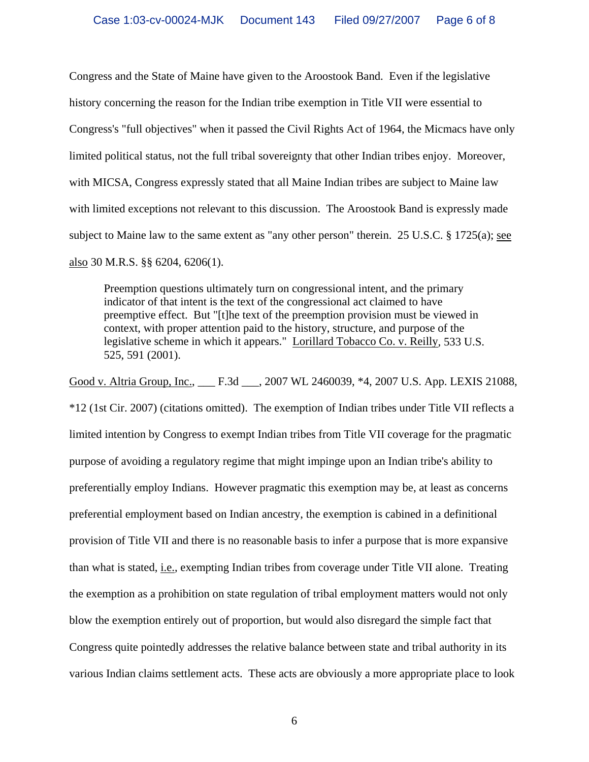Congress and the State of Maine have given to the Aroostook Band. Even if the legislative history concerning the reason for the Indian tribe exemption in Title VII were essential to Congress's "full objectives" when it passed the Civil Rights Act of 1964, the Micmacs have only limited political status, not the full tribal sovereignty that other Indian tribes enjoy. Moreover, with MICSA, Congress expressly stated that all Maine Indian tribes are subject to Maine law with limited exceptions not relevant to this discussion. The Aroostook Band is expressly made subject to Maine law to the same extent as "any other person" therein. 25 U.S.C. § 1725(a); see also 30 M.R.S. §§ 6204, 6206(1).

Preemption questions ultimately turn on congressional intent, and the primary indicator of that intent is the text of the congressional act claimed to have preemptive effect. But "[t]he text of the preemption provision must be viewed in context, with proper attention paid to the history, structure, and purpose of the legislative scheme in which it appears." Lorillard Tobacco Co. v. Reilly*,* 533 U.S. 525, 591 (2001).

Good v. Altria Group, Inc., \_\_\_ F.3d \_\_\_, 2007 WL 2460039, \*4, 2007 U.S. App. LEXIS 21088,

\*12 (1st Cir. 2007) (citations omitted). The exemption of Indian tribes under Title VII reflects a limited intention by Congress to exempt Indian tribes from Title VII coverage for the pragmatic purpose of avoiding a regulatory regime that might impinge upon an Indian tribe's ability to preferentially employ Indians. However pragmatic this exemption may be, at least as concerns preferential employment based on Indian ancestry, the exemption is cabined in a definitional provision of Title VII and there is no reasonable basis to infer a purpose that is more expansive than what is stated, i.e., exempting Indian tribes from coverage under Title VII alone. Treating the exemption as a prohibition on state regulation of tribal employment matters would not only blow the exemption entirely out of proportion, but would also disregard the simple fact that Congress quite pointedly addresses the relative balance between state and tribal authority in its various Indian claims settlement acts. These acts are obviously a more appropriate place to look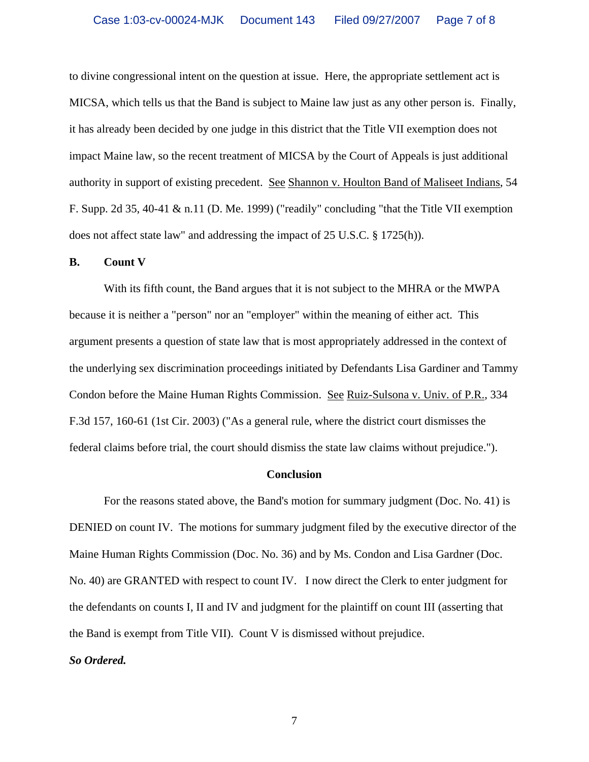to divine congressional intent on the question at issue. Here, the appropriate settlement act is MICSA, which tells us that the Band is subject to Maine law just as any other person is. Finally, it has already been decided by one judge in this district that the Title VII exemption does not impact Maine law, so the recent treatment of MICSA by the Court of Appeals is just additional authority in support of existing precedent. See Shannon v. Houlton Band of Maliseet Indians, 54 F. Supp. 2d 35, 40-41 & n.11 (D. Me. 1999) ("readily" concluding "that the Title VII exemption does not affect state law" and addressing the impact of 25 U.S.C. § 1725(h)).

#### **B. Count V**

With its fifth count, the Band argues that it is not subject to the MHRA or the MWPA because it is neither a "person" nor an "employer" within the meaning of either act. This argument presents a question of state law that is most appropriately addressed in the context of the underlying sex discrimination proceedings initiated by Defendants Lisa Gardiner and Tammy Condon before the Maine Human Rights Commission. See Ruiz-Sulsona v. Univ. of P.R., 334 F.3d 157, 160-61 (1st Cir. 2003) ("As a general rule, where the district court dismisses the federal claims before trial, the court should dismiss the state law claims without prejudice.").

#### **Conclusion**

For the reasons stated above, the Band's motion for summary judgment (Doc. No. 41) is DENIED on count IV. The motions for summary judgment filed by the executive director of the Maine Human Rights Commission (Doc. No. 36) and by Ms. Condon and Lisa Gardner (Doc. No. 40) are GRANTED with respect to count IV. I now direct the Clerk to enter judgment for the defendants on counts I, II and IV and judgment for the plaintiff on count III (asserting that the Band is exempt from Title VII). Count V is dismissed without prejudice. *So Ordered.*